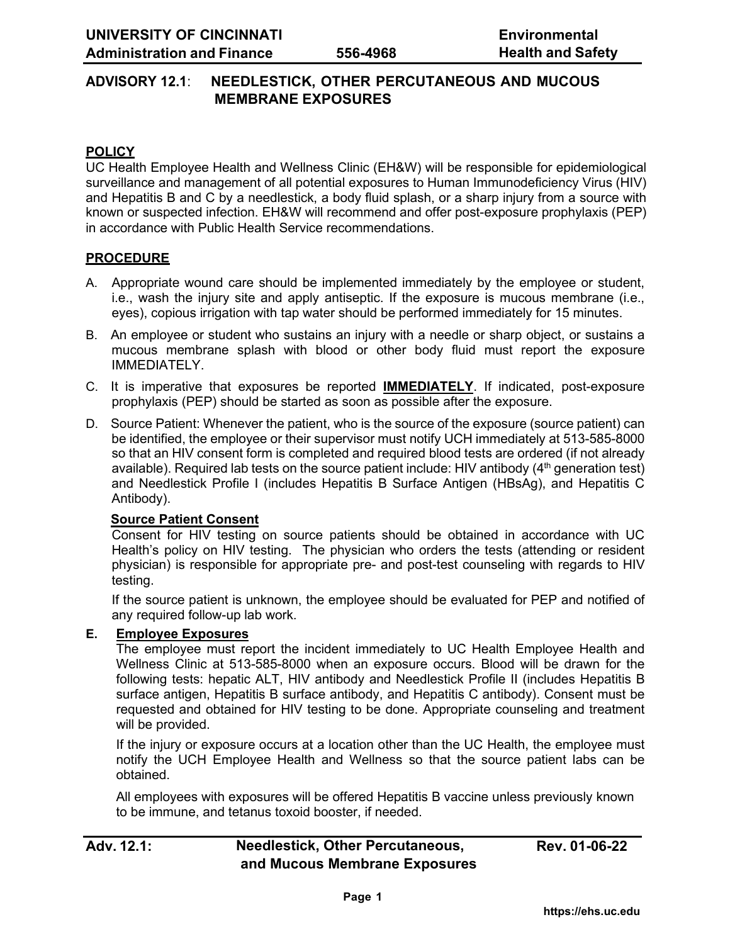# **ADVISORY 12.1**: **NEEDLESTICK, OTHER PERCUTANEOUS AND MUCOUS MEMBRANE EXPOSURES**

### **POLICY**

UC Health Employee Health and Wellness Clinic (EH&W) will be responsible for epidemiological surveillance and management of all potential exposures to Human Immunodeficiency Virus (HIV) and Hepatitis B and C by a needlestick, a body fluid splash, or a sharp injury from a source with known or suspected infection. EH&W will recommend and offer post-exposure prophylaxis (PEP) in accordance with Public Health Service recommendations.

### **PROCEDURE**

- A. Appropriate wound care should be implemented immediately by the employee or student, i.e., wash the injury site and apply antiseptic. If the exposure is mucous membrane (i.e., eyes), copious irrigation with tap water should be performed immediately for 15 minutes.
- B. An employee or student who sustains an injury with a needle or sharp object, or sustains a mucous membrane splash with blood or other body fluid must report the exposure IMMEDIATELY.
- C. It is imperative that exposures be reported **IMMEDIATELY**. If indicated, post-exposure prophylaxis (PEP) should be started as soon as possible after the exposure.
- D. Source Patient: Whenever the patient, who is the source of the exposure (source patient) can be identified, the employee or their supervisor must notify UCH immediately at 513-585-8000 so that an HIV consent form is completed and required blood tests are ordered (if not already available). Required lab tests on the source patient include: HIV antibody  $(4<sup>th</sup>$  generation test) and Needlestick Profile I (includes Hepatitis B Surface Antigen (HBsAg), and Hepatitis C Antibody).

### **Source Patient Consent**

Consent for HIV testing on source patients should be obtained in accordance with UC Health's policy on HIV testing. The physician who orders the tests (attending or resident physician) is responsible for appropriate pre- and post-test counseling with regards to HIV testing.

If the source patient is unknown, the employee should be evaluated for PEP and notified of any required follow-up lab work.

### **E. Employee Exposures**

The employee must report the incident immediately to UC Health Employee Health and Wellness Clinic at 513-585-8000 when an exposure occurs. Blood will be drawn for the following tests: hepatic ALT, HIV antibody and Needlestick Profile II (includes Hepatitis B surface antigen, Hepatitis B surface antibody, and Hepatitis C antibody). Consent must be requested and obtained for HIV testing to be done. Appropriate counseling and treatment will be provided.

If the injury or exposure occurs at a location other than the UC Health, the employee must notify the UCH Employee Health and Wellness so that the source patient labs can be obtained.

All employees with exposures will be offered Hepatitis B vaccine unless previously known to be immune, and tetanus toxoid booster, if needed.

# **Adv. 12.1: Needlestick, Other Percutaneous, and Mucous Membrane Exposures**

**Rev. 01-06-22**